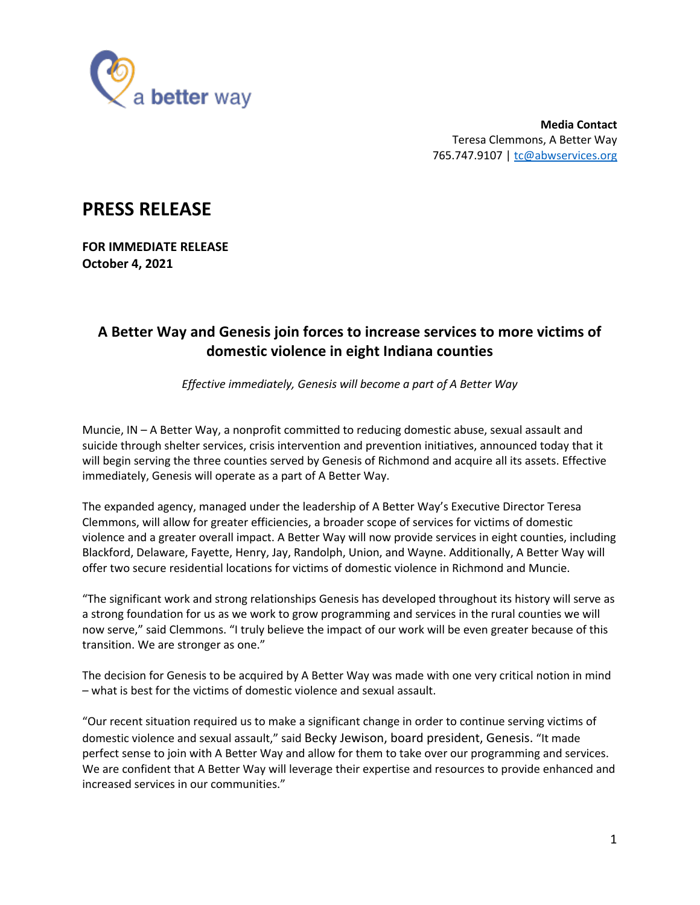

**Media Contact** Teresa Clemmons, A Better Way 765.747.9107 | tc@abwservices.org

## **PRESS RELEASE**

**FOR IMMEDIATE RELEASE October 4, 2021**

## **A Better Way and Genesis join forces to increase services to more victims of domestic violence in eight Indiana counties**

*Effective immediately, Genesis will become a part of A Better Way*

Muncie, IN – A Better Way, a nonprofit committed to reducing domestic abuse, sexual assault and suicide through shelter services, crisis intervention and prevention initiatives, announced today that it will begin serving the three counties served by Genesis of Richmond and acquire all its assets. Effective immediately, Genesis will operate as a part of A Better Way.

The expanded agency, managed under the leadership of A Better Way's Executive Director Teresa Clemmons, will allow for greater efficiencies, a broader scope of services for victims of domestic violence and a greater overall impact. A Better Way will now provide services in eight counties, including Blackford, Delaware, Fayette, Henry, Jay, Randolph, Union, and Wayne. Additionally, A Better Way will offer two secure residential locations for victims of domestic violence in Richmond and Muncie.

"The significant work and strong relationships Genesis has developed throughout its history will serve as a strong foundation for us as we work to grow programming and services in the rural counties we will now serve," said Clemmons. "I truly believe the impact of our work will be even greater because of this transition. We are stronger as one."

The decision for Genesis to be acquired by A Better Way was made with one very critical notion in mind – what is best for the victims of domestic violence and sexual assault.

"Our recent situation required us to make a significant change in order to continue serving victims of domestic violence and sexual assault," said Becky Jewison, board president, Genesis. "It made perfect sense to join with A Better Way and allow for them to take over our programming and services. We are confident that A Better Way will leverage their expertise and resources to provide enhanced and increased services in our communities."